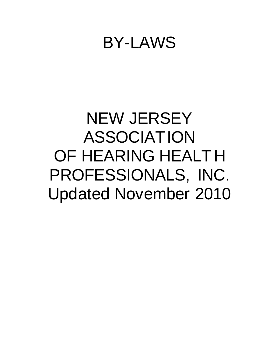## BY-LAWS

# NEW JERSEY ASSOCIATION OF HEARING HEALT H PROFESSIONALS, INC. Updated November 2010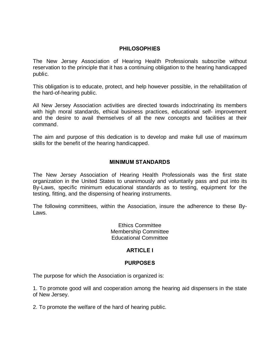## **PHILOSOPHIES**

The New Jersey Association of Hearing Health Professionals subscribe without reservation to the principle that it has a continuing obligation to the hearing handicapped public.

This obligation is to educate, protect, and help however possible, in the rehabilitation of the hard-of-hearing public.

All New Jersey Association activities are directed towards indoctrinating its members with high moral standards, ethical business practices, educational self- improvement and the desire to avail themselves of all the new concepts and facilities at their command.

The aim and purpose of this dedication is to develop and make full use of maximum skills for the benefit of the hearing handicapped.

#### **MINIMUM STANDARDS**

The New Jersey Association of Hearing Health Professionals was the first state organization in the United States to unanimously and voluntarily pass and put into its By-Laws, specific minimum educational standards as to testing, equipment for the testing, fitting, and the dispensing of hearing instruments.

The following committees, within the Association, insure the adherence to these By-Laws.

> Ethics Committee Membership Committee Educational Committee

## **ARTICLE I**

#### **PURPOSES**

The purpose for which the Association is organized is:

1. To promote good will and cooperation among the hearing aid dispensers in the state of New Jersey.

2. To promote the welfare of the hard of hearing public.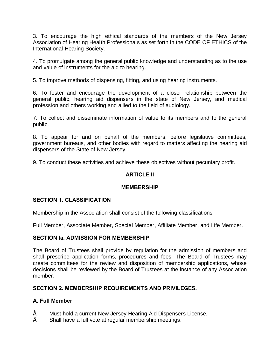3. To encourage the high ethical standards of the members of the New Jersey Association of Hearing Health Professionals as set forth in the CODE OF ETHICS of the International Hearing Society.

4. To promulgate among the general public knowledge and understanding as to the use and value of instruments for the aid to hearing.

5. To improve methods of dispensing, fitting, and using hearing instruments.

6. To foster and encourage the development of a closer relationship between the general public, hearing aid dispensers in the state of New Jersey, and medical profession and others working and allied to the field of audiology.

7. To collect and disseminate information of value to its members and to the general public.

8. To appear for and on behalf of the members, before legislative committees, government bureaus, and other bodies with regard to matters affecting the hearing aid dispensers of the State of New Jersey.

9. To conduct these activities and achieve these objectives without pecuniary profit.

## **ARTICLE II**

## **MEMBERSHIP**

#### **SECTION 1. CLASSIFICATION**

Membership in the Association shall consist of the following classifications:

Full Member, Associate Member, Special Member, Affiliate Member, and Life Member.

## **SECTION Ia. ADMISSION FOR MEMBERSHIP**

The Board of Trustees shall provide by regulation for the admission of members and shall prescribe application forms, procedures and fees. The Board of Trustees may create committees for the review and disposition of membership applications, whose decisions shall be reviewed by the Board of Trustees at the instance of any Association member.

#### **SECTION 2. MEMBERSHIP REQUIREMENTS AND PRIVILEGES.**

## **A. Full Member**

- "Must hold a current New Jersey Hearing Aid Dispensers License.
- Shall have a full vote at regular membership meetings.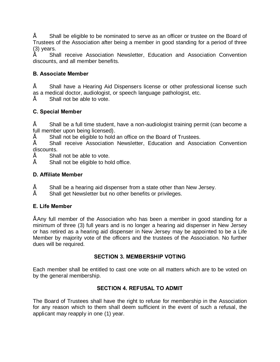• Shall be eligible to be nominated to serve as an officer or trustee on the Board of Trustees of the Association after being a member in good standing for a period of three (3) years.

• Shall receive Association Newsletter, Education and Association Convention discounts, and all member benefits.

## **B. Associate Member**

Shall have a Hearing Aid Dispensers license or other professional license such as a medical doctor, audiologist, or speech language pathologist, etc.

Shall not be able to vote.

## **C. Special Member**

• Shall be a full time student, have a non-audiologist training permit (can become a full member upon being licensed).

Shall not be eligible to hold an office on the Board of Trustees.

Shall receive Association Newsletter, Education and Association Convention discounts.

Shall not be able to vote.

Shall not be eligible to hold office.

## **D. Affiliate Member**

- Shall be a hearing aid dispenser from a state other than New Jersey.
- Shall get Newsletter but no other benefits or privileges.

## **E. Life Member**

• Any full member of the Association who has been a member in good standing for a minimum of three (3) full years and is no longer a hearing aid dispenser in New Jersey or has retired as a hearing aid dispenser in New Jersey may be appointed to be a Life Member by majority vote of the officers and the trustees of the Association. No further dues will be required.

#### **SECTION 3. MEMBERSHIP VOTING**

Each member shall be entitled to cast one vote on all matters which are to be voted on by the general membership.

#### **SECTION 4. REFUSAL TO ADMIT**

The Board of Trustees shall have the right to refuse for membership in the Association for any reason which to them shall deem sufficient in the event of such a refusal, the applicant may reapply in one (1) year.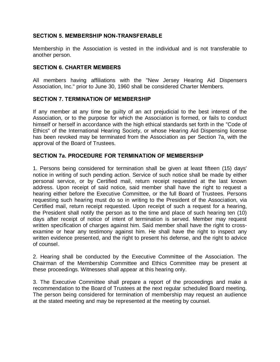## **SECTION 5. MEMBERSHIP NON-TRANSFERABLE**

Membership in the Association is vested in the individual and is not transferable to another person.

#### **SECTION 6. CHARTER MEMBERS**

All members having affiliations with the "New Jersey Hearing Aid Dispensers Association, Inc." prior to June 30, 1960 shall be considered Charter Members.

#### **SECTION 7. TERMINATION OF MEMBERSHIP**

If any member at any time be guilty of an act prejudicial to the best interest of the Association, or to the purpose for which the Association is formed, or fails to conduct himself or herself in accordance with the high ethical standards set forth in the "Code of Ethics" of the International Hearing Society, or whose Hearing Aid Dispensing license has been revoked may be terminated from the Association as per Section 7a, with the approval of the Board of Trustees.

#### **SECTION 7a. PROCEDURE FOR TERMINATION OF MEMBERSHIP**

1. Persons being considered for termination shall be given at least fifteen (15) days' notice in writing of such pending action. Service of such notice shall be made by either personal service, or by Certified mail, return receipt requested at the last known address. Upon receipt of said notice, said member shall have the right to request a hearing either before the Executive Committee, or the full Board of Trustees. Persons requesting such hearing must do so in writing to the President of the Association, via Certified mail, return receipt requested. Upon receipt of such a request for a hearing, the President shall notify the person as to the time and place of such hearing ten (10) days after receipt of notice of intent of termination is served. Member may request written specification of charges against him. Said member shall have the right to crossexamine or hear any testimony against him. He shall have the right to inspect any written evidence presented, and the right to present his defense, and the right to advice of counsel.

2. Hearing shall be conducted by the Executive Committee of the Association. The Chairman of the Membership Committee and Ethics Committee may be present at these proceedings. Witnesses shall appear at this hearing only.

3. The Executive Committee shall prepare a report of the proceedings and make a recommendation to the Board of Trustees at the next regular scheduled Board meeting. The person being considered for termination of membership may request an audience at the stated meeting and may be represented at the meeting by counsel.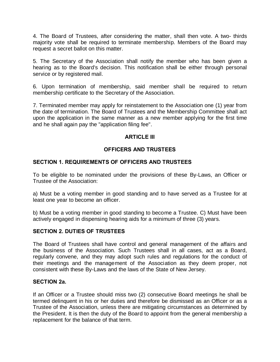4. The Board of Trustees, after considering the matter, shall then vote. A two- thirds majority vote shall be required to terminate membership. Members of the Board may request a secret ballot on this matter.

5. The Secretary of the Association shall notify the member who has been given a hearing as to the Board's decision. This notification shall be either through personal service or by registered mail.

6. Upon termination of membership, said member shall be required to return membership certificate to the Secretary of the Association.

7. Terminated member may apply for reinstatement to the Association one (1) year from the date of termination. The Board of Trustees and the Membership Committee shall act upon the application in the same manner as a new member applying for the first time and he shall again pay the "application filing fee".

## **ARTICLE III**

## **OFFICERS AND TRUSTEES**

#### **SECTION 1. REQUIREMENTS OF OFFICERS AND TRUSTEES**

To be eligible to be nominated under the provisions of these By-Laws, an Officer or Trustee of the Association:

a) Must be a voting member in good standing and to have served as a Trustee for at least one year to become an officer.

b) Must be a voting member in good standing to become a Trustee. C) Must have been actively engaged in dispensing hearing aids for a minimum of three (3) years.

#### **SECTION 2. DUTIES OF TRUSTEES**

The Board of Trustees shall have control and general management of the affairs and the business of the Association. Such Trustees shall in all cases, act as a Board, regularly convene, and they may adopt such rules and regulations for the conduct of their meetings and the management of the Association as they deem proper, not consistent with these By-Laws and the laws of the State of New Jersey.

## **SECTION 2a.**

If an Officer or a Trustee should miss two (2) consecutive Board meetings he shall be termed delinquent in his or her duties and therefore be dismissed as an Officer or as a Trustee of the Association, unless there are mitigating circumstances as determined by the President. It is then the duty of the Board to appoint from the general membership a replacement for the balance of that term.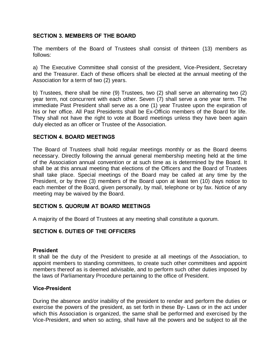## **SECTION 3. MEMBERS OF THE BOARD**

The members of the Board of Trustees shall consist of thirteen (13) members as follows:

a) The Executive Committee shall consist of the president, Vice-President, Secretary and the Treasurer. Each of these officers shall be elected at the annual meeting of the Association for a term of two (2) years.

b) Trustees, there shall be nine (9) Trustees, two (2) shall serve an alternating two (2) year term, not concurrent with each other. Seven (7) shall serve a one year term. The immediate Past President shall serve as a one (1) year Trustee upon the expiration of his or her office. All Past Presidents shall be Ex-Officio members of the Board for life. They shall not have the right to vote at Board meetings unless they have been again duly elected as an officer or Trustee of the Association.

#### **SECTION 4. BOARD MEETINGS**

The Board of Trustees shall hold regular meetings monthly or as the Board deems necessary. Directly following the annual general membership meeting held at the time of the Association annual convention or at such time as is determined by the Board. It shall be at this annual meeting that elections of the Officers and the Board of Trustees shall take place. Special meetings of the Board may be called at any time by the President, or by three (3) members of the Board upon at least ten (10) days notice to each member of the Board, given personally, by mail, telephone or by fax. Notice of any meeting may be waived by the Board.

#### **SECTION 5. QUORUM AT BOARD MEETINGS**

A majority of the Board of Trustees at any meeting shall constitute a quorum.

#### **SECTION 6. DUTIES OF THE OFFICERS**

#### **President**

It shall be the duty of the President to preside at all meetings of the Association, to appoint members to standing committees, to create such other committees and appoint members thereof as is deemed advisable, and to perform such other duties imposed by the laws of Parliamentary Procedure pertaining to the office of President.

#### **Vice-President**

During the absence and/or inability of the president to render and perform the duties or exercise the powers of the president, as set forth in these By- Laws or in the act under which this Association is organized, the same shall be performed and exercised by the Vice-President, and when so acting, shall have all the powers and be subject to all the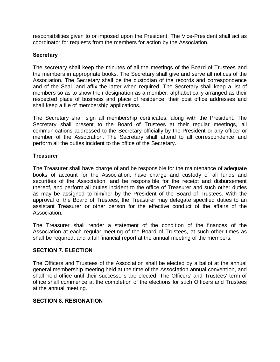responsibilities given to or imposed upon the President. The Vice-President shall act as coordinator for requests from the members for action by the Association.

## **Secretary**

The secretary shall keep the minutes of all the meetings of the Board of Trustees and the members in appropriate books. The Secretary shall give and serve all notices of the Association. The Secretary shall be the custodian of the records and correspondence and of the Seal, and affix the latter when required. The Secretary shall keep a list of members so as to show their designation as a member, alphabetically arranged as their respected place of business and place of residence, their post office addresses and shall keep a file of membership applications.

The Secretary shall sign all membership certificates, along with the President. The Secretary shall present to the Board of Trustees at their regular meetings, all communications addressed to the Secretary officially by the President or any officer or member of the Association. The Secretary shall attend to all correspondence and perform all the duties incident to the office of the Secretary.

## **Treasurer**

The Treasurer shall have charge of and be responsible for the maintenance of adequate books of account for the Association, have charge and custody of all funds and securities of the Association, and be responsible for the receipt and disbursement thereof, and perform all duties incident to the office of Treasurer and such other duties as may be assigned to him/her by the President of the Board of Trustees. With the approval of the Board of Trustees, the Treasurer may delegate specified duties to an assistant Treasurer or other person for the effective conduct of the affairs of the Association.

The Treasurer shall render a statement of the condition of the finances of the Association at each regular meeting of the Board of Trustees, at such other times as shall be required, and a full financial report at the annual meeting of the members.

#### **SECTION 7. ELECTION**

The Officers and Trustees of the Association shall be elected by a ballot at the annual general membership meeting held at the time of the Association annual convention, and shall hold office until their successors are elected. The Officers' and Trustees' term of office shall commence at the completion of the elections for such Officers and Trustees at the annual meeting.

#### **SECTION 8. RESIGNATION**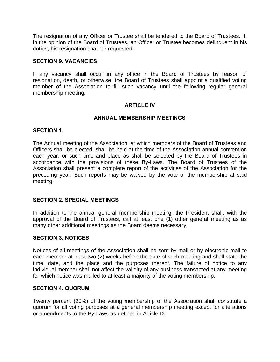The resignation of any Officer or Trustee shall be tendered to the Board of Trustees. If, in the opinion of the Board of Trustees, an Officer or Trustee becomes delinquent in his duties, his resignation shall be requested.

#### **SECTION 9. VACANCIES**

If any vacancy shall occur in any office in the Board of Trustees by reason of resignation, death, or otherwise, the Board of Trustees shall appoint a qualified voting member of the Association to fill such vacancy until the following regular general membership meeting.

#### **ARTICLE IV**

#### **ANNUAL MEMBERSHIP MEETINGS**

#### **SECTION 1.**

The Annual meeting of the Association, at which members of the Board of Trustees and Officers shall be elected, shall be held at the time of the Association annual convention each year, or such time and place as shall be selected by the Board of Trustees in accordance with the provisions of these By-Laws. The Board of Trustees of the Association shall present a complete report of the activities of the Association for the preceding year. Such reports may be waived by the vote of the membership at said meeting.

#### **SECTION 2. SPECIAL MEETINGS**

In addition to the annual general membership meeting, the President shall, with the approval of the Board of Trustees, call at least one (1) other general meeting as as many other additional meetings as the Board deems necessary.

#### **SECTION 3. NOTICES**

Notices of all meetings of the Association shall be sent by mail or by electronic mail to each member at least two (2) weeks before the date of such meeting and shall state the time, date, and the place and the purposes thereof. The failure of notice to any individual member shall not affect the validity of any business transacted at any meeting for which notice was mailed to at least a majority of the voting membership.

#### **SECTION 4. QUORUM**

Twenty percent (20%) of the voting membership of the Association shall constitute a quorum for all voting purposes at a general membership meeting except for alterations or amendments to the By-Laws as defined in Article IX.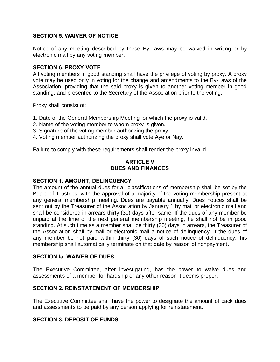## **SECTION 5. WAIVER OF NOTICE**

Notice of any meeting described by these By-Laws may be waived in writing or by electronic mail by any voting member.

## **SECTION 6. PROXY VOTE**

All voting members in good standing shall have the privilege of voting by proxy. A proxy vote may be used only in voting for the change and amendments to the By-Laws of the Association, providing that the said proxy is given to another voting member in good standing, and presented to the Secretary of the Association prior to the voting.

Proxy shall consist of:

- 1. Date of the General Membership Meeting for which the proxy is valid.
- 2. Name of the voting member to whom proxy is given.
- 3. Signature of the voting member authorizing the proxy.
- 4. Voting member authorizing the proxy shall vote Aye or Nay.

Failure to comply with these requirements shall render the proxy invalid.

## **ARTICLE V DUES AND FINANCES**

#### **SECTION 1. AMOUNT, DELINQUENCY**

The amount of the annual dues for all classifications of membership shall be set by the Board of Trustees, with the approval of a majority of the voting membership present at any general membership meeting. Dues are payable annually. Dues notices shall be sent out by the Treasurer of the Association by January 1 by mail or electronic mail and shall be considered in arrears thirty (30) days after same. If the dues of any member be unpaid at the time of the next general membership meeting, he shall not be in good standing. At such time as a member shall be thirty (30) days in arrears, the Treasurer of the Association shall by mail or electronic mail a notice of delinquency. If the dues of any member be not paid within thirty (30) days of such notice of delinquency, his membership shall automatically terminate on that date by reason of nonpayment.

#### **SECTION Ia. WAIVER OF DUES**

The Executive Committee, after investigating, has the power to waive dues and assessments of a member for hardship or any other reason it deems proper.

#### **SECTION 2. REINSTATEMENT OF MEMBERSHIP**

The Executive Committee shall have the power to designate the amount of back dues and assessments to be paid by any person applying for reinstatement.

## **SECTION 3. DEPOSIT OF FUNDS**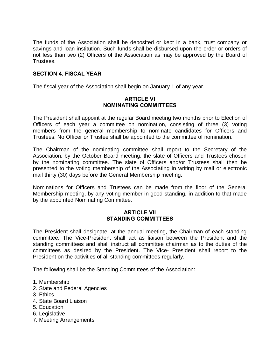The funds of the Association shall be deposited or kept in a bank, trust company or savings and loan institution. Such funds shall be disbursed upon the order or orders of not less than two (2) Officers of the Association as may be approved by the Board of Trustees.

## **SECTION 4. FISCAL YEAR**

The fiscal year of the Association shall begin on January 1 of any year.

## **ARTICLE VI NOMINATING COMMITTEES**

The President shall appoint at the regular Board meeting two months prior to Election of Officers of each year a committee on nomination, consisting of three (3) voting members from the general membership to nominate candidates for Officers and Trustees. No Officer or Trustee shall be appointed to the committee of nomination.

The Chairman of the nominating committee shall report to the Secretary of the Association, by the October Board meeting, the slate of Officers and Trustees chosen by the nominating committee. The slate of Officers and/or Trustees shall then be presented to the voting membership of the Associating in writing by mail or electronic mail thirty (30) days before the General Membership meeting.

Nominations for Officers and Trustees can be made from the floor of the General Membership meeting, by any voting member in good standing, in addition to that made by the appointed Nominating Committee.

#### **ARTICLE VII STANDING COMMITTEES**

The President shall designate, at the annual meeting, the Chairman of each standing committee. The Vice-President shall act as liaison between the President and the standing committees and shall instruct all committee chairman as to the duties of the committees as desired by the President. The Vice- President shall report to the President on the activities of all standing committees regularly.

The following shall be the Standing Committees of the Association:

- 1. Membership
- 2. State and Federal Agencies
- 3. Ethics
- 4. State Board Liaison
- 5. Education
- 6. Legislative
- 7. Meeting Arrangements